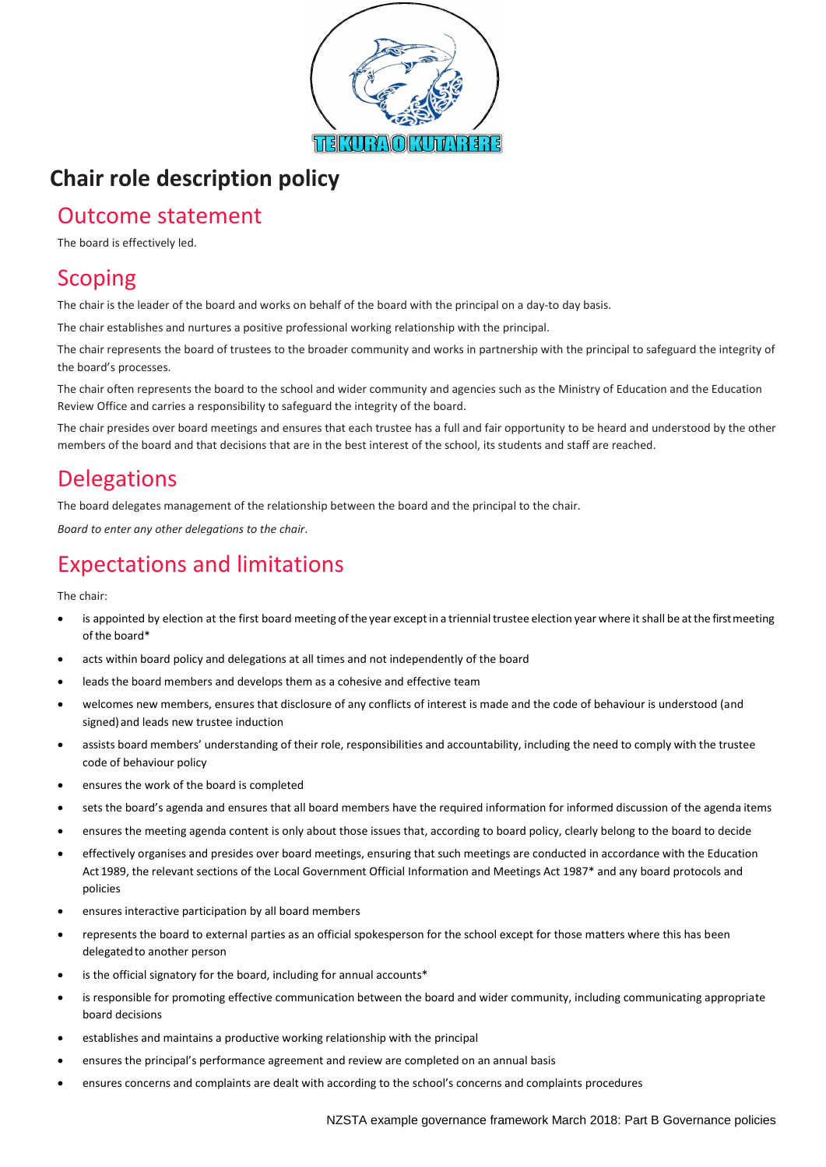

# **Chair role description policy**

## Outcome statement

The board is effectively led.

### **Scoping**

The chair is the leader of the board and works on behalf of the board with the principal on a day-to day basis.

The chair establishes and nurtures a positive professional working relationship with the principal.

The chair represents the board of trustees to the broader community and works in partnership with the principal to safeguard the integrity of the board's processes.

The chair often represents the board to the school and wider community and agencies such as the Ministry of Education and the Education Review Office and carries a responsibility to safeguard the integrity of the board.

The chair presides over board meetings and ensures that each trustee has a full and fair opportunity to be heard and understood by the other members of the board and that decisions that are in the best interest of the school, its students and staff are reached.

#### **Delegations**

The board delegates management of the relationship between the board and the principal to the chair.

*Board to enter any other delegations to the chair*.

### Expectations and limitations

The chair:

- is appointed by election at the first board meeting of the year except in a triennial trustee election year where it shall be at the first meeting ofthe board\*
- acts within board policy and delegations at all times and not independently of the board
- leads the board members and develops them as a cohesive and effective team
- welcomes new members, ensures that disclosure of any conflicts of interest is made and the code of behaviour is understood (and signed) and leads new trustee induction
- assists board members' understanding of their role, responsibilities and accountability, including the need to comply with the trustee code of behaviour policy
- ensures the work of the board is completed
- sets the board's agenda and ensures that all board members have the required information for informed discussion of the agenda items
- ensures the meeting agenda content is only about those issues that, according to board policy, clearly belong to the board to decide
- effectively organises and presides over board meetings, ensuring that such meetings are conducted in accordance with the Education Act 1989, the relevant sections of the Local Government Official Information and Meetings Act 1987\* and any board protocols and policies
- ensures interactive participation by all board members
- represents the board to external parties as an official spokesperson for the school except for those matters where this has been delegated to another person
- is the official signatory for the board, including for annual accounts\*
- is responsible for promoting effective communication between the board and wider community, including communicating appropriate board decisions
- establishes and maintains a productive working relationship with the principal
- ensures the principal's performance agreement and review are completed on an annual basis
- ensures concerns and complaints are dealt with according to the school's concerns and complaints procedures